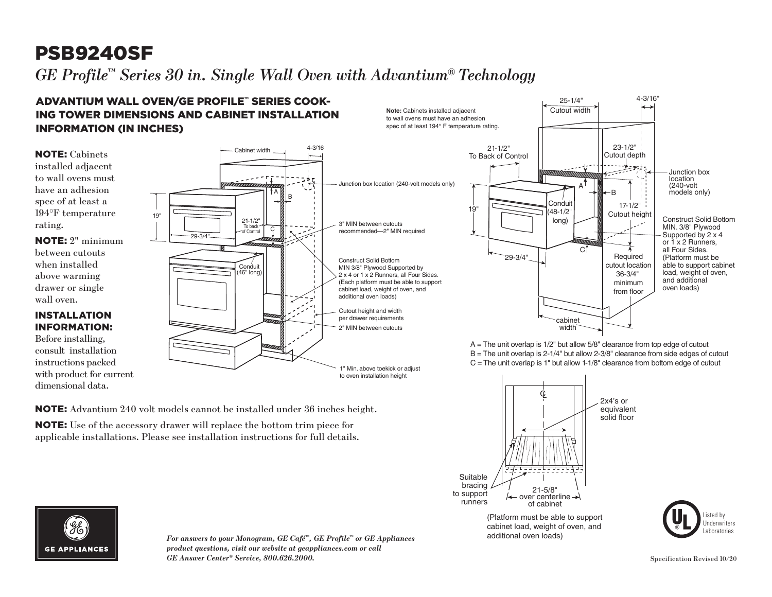## PSB9240SF

 $G\!E$  Profile™ Series 30 in. Single Wall Oven with Advantium® Technology  $\textit{file}^{\tau\text{m}}$ ies  $30$  i width *A and O but a which show which the second*  $\sim$ 

#### $(2)$  (All  $\alpha$  able to be about ADVANTIUM WALL OVEN/GE PROFILE™ SERIES COOK-<br>ADVANTIUM WALL OVEN/GE PROFILE™ SERIES COOK-ING TOWER DIMENSIONS AND CABINET INSTALLATION INFORMATION (IN INCHES)

NOTE: Advantium 240 volt models cannot be installed under 36 inches height.

NOTE: Use of the accessory drawer will replace the bottom trim piece for applicable installations. Please see installation instructions for full details.

NOTE: Cabinets installed adjacent to wall ovens must have an adhesion spec of at least a 194°F temperature rating.

NOTE: 2" minimum between cutouts when installed above warming drawer or single wall oven.

#### INSTALLATION INFORMATION:

Before installing, consult installation instructions packed with product for current dimensional data.





A = The unit overlap is 1/2" but allow 5/8" clearance from top edge of cutout B = The unit overlap is 2-1/4" but allow 2-3/8" clearance from side edges of cutout  $C =$  The unit overlap is 1" but allow 1-1/8" clearance from bottom edge of cutout



cabinet load, weight of oven, and additional oven loads) (Platform must be able to support





*For answers to your Monogram, GE Café™, GE Profile™ or GE Appliances product questions, visit our website at geappliances.com or call GE Answer Center® Service, 800.626.2000.* Specification Revised 10/20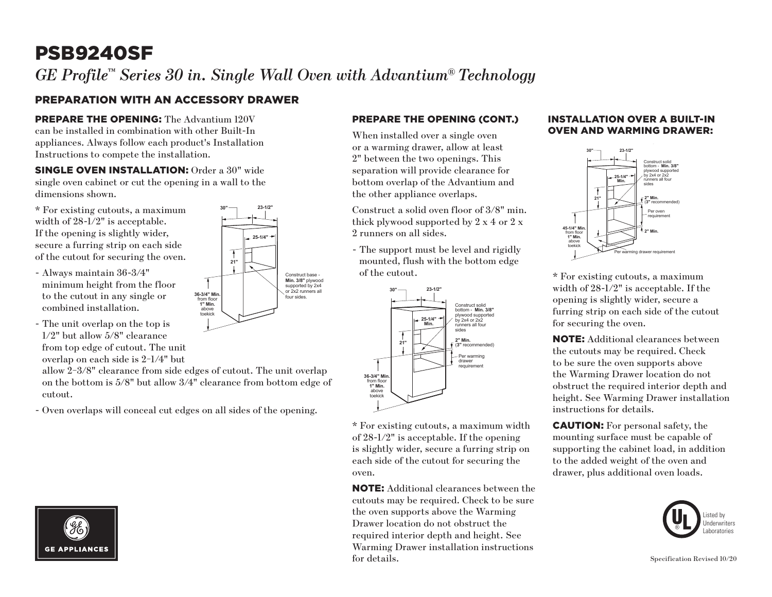# PSB9240SF

*GE Profile™ Series 30 in. Single Wall Oven with Advantium® Technology* 

**25-1/4"**

**21"**

**36-3/4" Min.** from floor **1" Min.** above toekick

**30"**

Construct base - **Min. 3/8"** plywood supported by 2x4 or 2x2 runners all four sides.

**23-1/2"**

### PREPARATION WITH AN ACCESSORY DRAWER

PREPARE THE OPENING: The Advantium 120V can be installed in combination with other Built-In appliances. Always follow each product's Installation Instructions to compete the installation.

SINGLE OVEN INSTALLATION: Order a 30" wide single oven cabinet or cut the opening in a wall to the dimensions shown.

\* For existing cutouts, a maximum width of 28-1/2" is acceptable. If the opening is slightly wider, secure a furring strip on each side of the cutout for securing the oven.

- Always maintain 36-3/4" minimum height from the floor to the cutout in any single or combined installation.
- The unit overlap on the top is 1/2" but allow 5/8" clearance from top edge of cutout. The unit overlap on each side is 2−1/4" but

allow 2−3/8" clearance from side edges of cutout. The unit overlap on the bottom is 5/8" but allow 3/4" clearance from bottom edge of cutout.

- Oven overlaps will conceal cut edges on all sides of the opening.



#### PREPARE THE OPENING (CONT.)

When installed over a single oven or a warming drawer, allow at least 2" between the two openings. This separation will provide clearance for bottom overlap of the Advantium and the other appliance overlaps.

Construct a solid oven floor of 3/8" min. thick plywood supported by 2 x 4 or 2 x 2 runners on all sides.

- The support must be level and rigidly mounted, flush with the bottom edge of the cutout.



\* For existing cutouts, a maximum width of 28-1/2" is acceptable. If the opening is slightly wider, secure a furring strip on each side of the cutout for securing the oven.

NOTE: Additional clearances between the cutouts may be required. Check to be sure the oven supports above the Warming Drawer location do not obstruct the required interior depth and height. See Warming Drawer installation instructions for details.

#### INSTALLATION OVER A BUILT-IN OVEN AND WARMING DRAWER:



\* For existing cutouts, a maximum width of 28-1/2" is acceptable. If the opening is slightly wider, secure a furring strip on each side of the cutout for securing the oven.

NOTE: Additional clearances between the cutouts may be required. Check to be sure the oven supports above the Warming Drawer location do not obstruct the required interior depth and height. See Warming Drawer installation instructions for details.

CAUTION: For personal safety, the mounting surface must be capable of supporting the cabinet load, in addition to the added weight of the oven and drawer, plus additional oven loads.